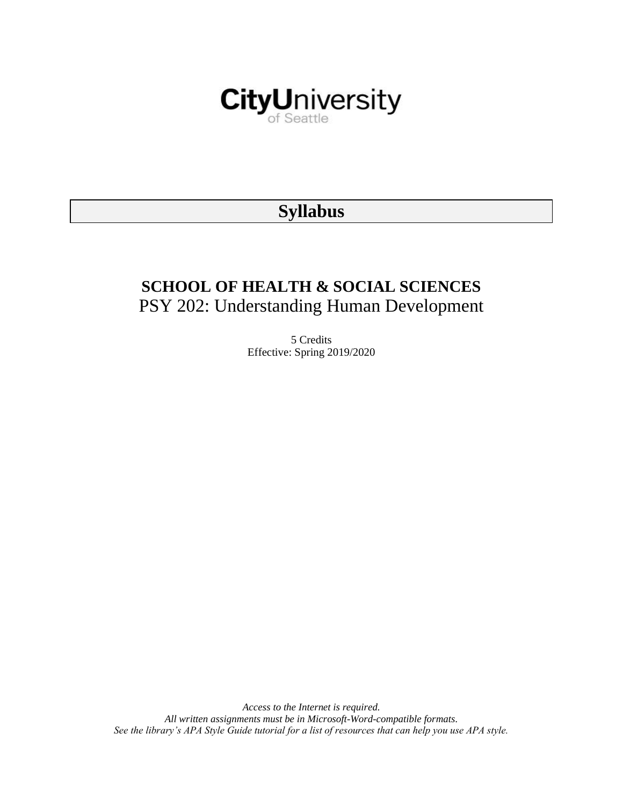

# **Syllabus**

# **SCHOOL OF HEALTH & SOCIAL SCIENCES** PSY 202: Understanding Human Development

5 Credits Effective: Spring 2019/2020

*Access to the Internet is required. All written assignments must be in Microsoft-Word-compatible formats. See the library's APA Style Guide tutorial for a list of resources that can help you use APA style.*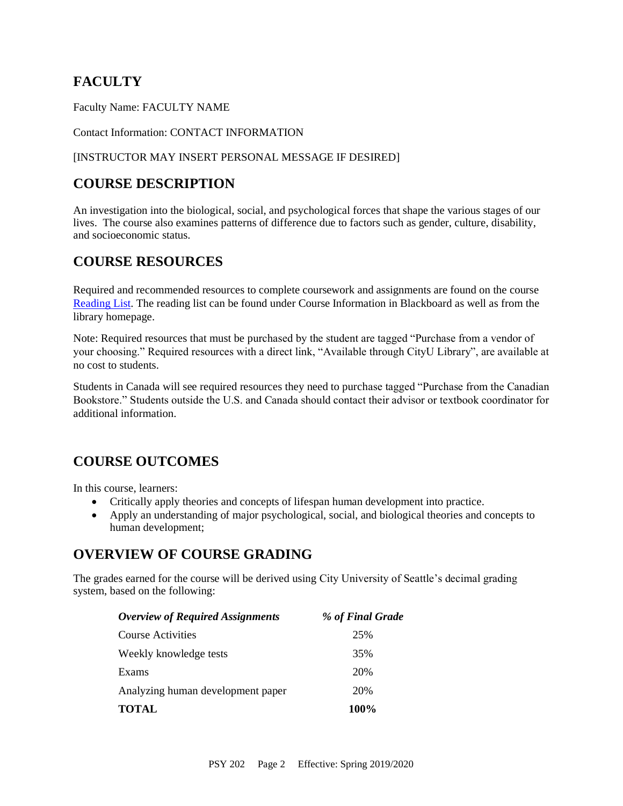# **FACULTY**

Faculty Name: FACULTY NAME

Contact Information: CONTACT INFORMATION

### [INSTRUCTOR MAY INSERT PERSONAL MESSAGE IF DESIRED]

# **COURSE DESCRIPTION**

An investigation into the biological, social, and psychological forces that shape the various stages of our lives. The course also examines patterns of difference due to factors such as gender, culture, disability, and socioeconomic status.

# **COURSE RESOURCES**

Required and recommended resources to complete coursework and assignments are found on the course [Reading List.](https://nam03.safelinks.protection.outlook.com/?url=https%3A%2F%2Fcityu.alma.exlibrisgroup.com%2Fleganto%2Flogin%3Fauth%3DSAML&data=04%7C01%7CMMara%40cityu.edu%7C70673ce0fe0144040eda08d87472e204%7Cb3fa96d9f5154662add763d854e39e63%7C1%7C0%7C637387384066198115%7CUnknown%7CTWFpbGZsb3d8eyJWIjoiMC4wLjAwMDAiLCJQIjoiV2luMzIiLCJBTiI6Ik1haWwiLCJXVCI6Mn0%3D%7C1000&sdata=JbwP%2Fm5Q%2BMgIUWa%2FXceos%2BoiLv0DX%2B%2FL%2BNGNMbX9P8E%3D&reserved=0) The reading list can be found under Course Information in Blackboard as well as from the library homepage.

Note: Required resources that must be purchased by the student are tagged "Purchase from a vendor of your choosing." Required resources with a direct link, "Available through CityU Library", are available at no cost to students.

Students in Canada will see required resources they need to purchase tagged "Purchase from the Canadian Bookstore." Students outside the U.S. and Canada should contact their advisor or textbook coordinator for additional information.

# **COURSE OUTCOMES**

In this course, learners:

- Critically apply theories and concepts of lifespan human development into practice.
- Apply an understanding of major psychological, social, and biological theories and concepts to human development;

# **OVERVIEW OF COURSE GRADING**

The grades earned for the course will be derived using City University of Seattle's decimal grading system, based on the following:

| <b>Overview of Required Assignments</b> | % of Final Grade |
|-----------------------------------------|------------------|
| Course Activities                       | 25%              |
| Weekly knowledge tests                  | 35%              |
| Exams                                   | 20%              |
| Analyzing human development paper       | 20%              |
| <b>TOTAL</b>                            | 100%             |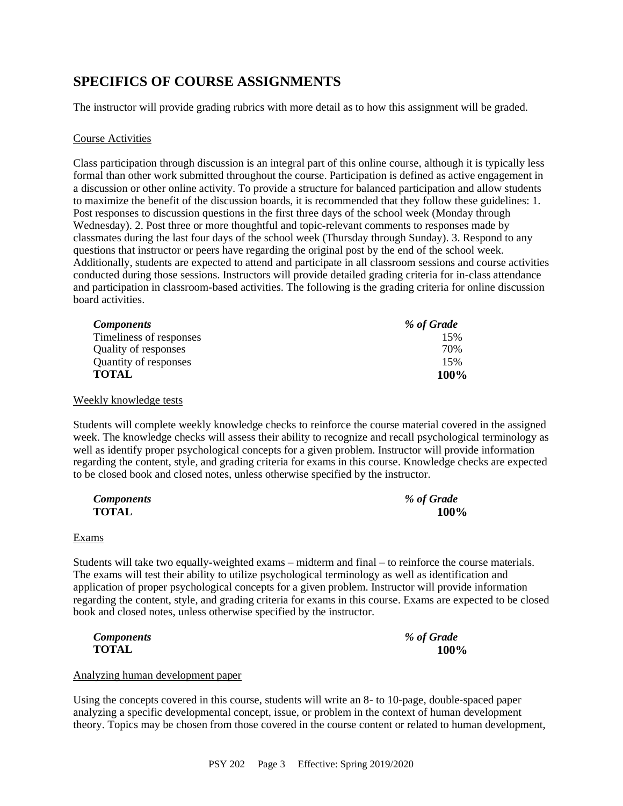# **SPECIFICS OF COURSE ASSIGNMENTS**

The instructor will provide grading rubrics with more detail as to how this assignment will be graded.

#### Course Activities

Class participation through discussion is an integral part of this online course, although it is typically less formal than other work submitted throughout the course. Participation is defined as active engagement in a discussion or other online activity. To provide a structure for balanced participation and allow students to maximize the benefit of the discussion boards, it is recommended that they follow these guidelines: 1. Post responses to discussion questions in the first three days of the school week (Monday through Wednesday). 2. Post three or more thoughtful and topic-relevant comments to responses made by classmates during the last four days of the school week (Thursday through Sunday). 3. Respond to any questions that instructor or peers have regarding the original post by the end of the school week. Additionally, students are expected to attend and participate in all classroom sessions and course activities conducted during those sessions. Instructors will provide detailed grading criteria for in-class attendance and participation in classroom-based activities. The following is the grading criteria for online discussion board activities.

| <i>Components</i>       | % of Grade |
|-------------------------|------------|
| Timeliness of responses | 15%        |
| Quality of responses    | 70%        |
| Quantity of responses   | 15%        |
| <b>TOTAL</b>            | 100%       |

#### Weekly knowledge tests

Students will complete weekly knowledge checks to reinforce the course material covered in the assigned week. The knowledge checks will assess their ability to recognize and recall psychological terminology as well as identify proper psychological concepts for a given problem. Instructor will provide information regarding the content, style, and grading criteria for exams in this course. Knowledge checks are expected to be closed book and closed notes, unless otherwise specified by the instructor.

| <b>Components</b> | % of Grade |
|-------------------|------------|
| <b>TOTAL</b>      | 100%       |

#### **Exams**

Students will take two equally-weighted exams – midterm and final – to reinforce the course materials. The exams will test their ability to utilize psychological terminology as well as identification and application of proper psychological concepts for a given problem. Instructor will provide information regarding the content, style, and grading criteria for exams in this course. Exams are expected to be closed book and closed notes, unless otherwise specified by the instructor.

*Components % of Grade* **TOTAL 100%**

#### Analyzing human development paper

Using the concepts covered in this course, students will write an 8- to 10-page, double-spaced paper analyzing a specific developmental concept, issue, or problem in the context of human development theory. Topics may be chosen from those covered in the course content or related to human development,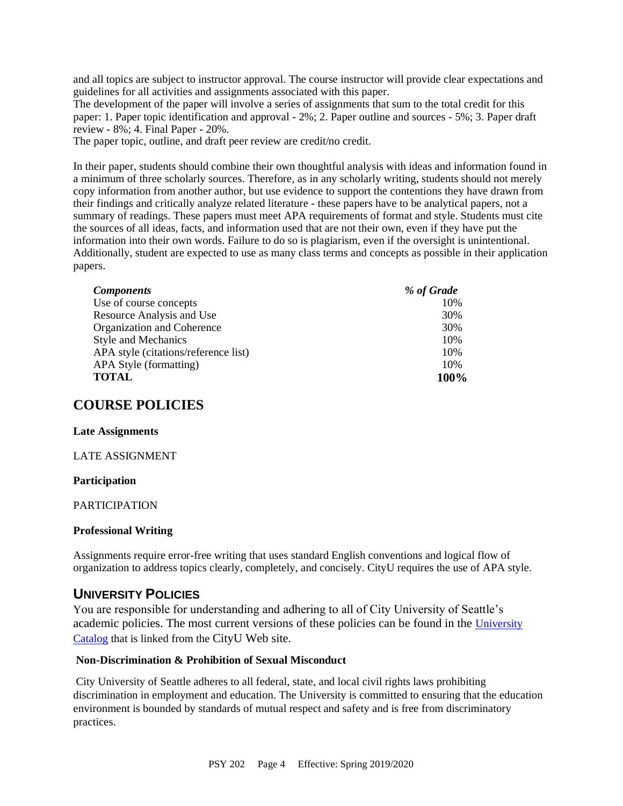and all topics are subject to instructor approval. The course instructor will provide clear expectations and guidelines for all activities and assignments associated with this paper.

The development of the paper will involve a series of assignments that sum to the total credit for this paper: 1. Paper topic identification and approval - 2%; 2. Paper outline and sources - 5%; 3. Paper draft review - 8%; 4. Final Paper - 20%.

The paper topic, outline, and draft peer review are credit/no credit.

In their paper, students should combine their own thoughtful analysis with ideas and information found in a minimum of three scholarly sources. Therefore, as in any scholarly writing, students should not merely copy information from another author, but use evidence to support the contentions they have drawn from their findings and critically analyze related literature - these papers have to be analytical papers, not a summary of readings. These papers must meet APA requirements of format and style. Students must cite the sources of all ideas, facts, and information used that are not their own, even if they have put the information into their own words. Failure to do so is plagiarism, even if the oversight is unintentional. Additionally, student are expected to use as many class terms and concepts as possible in their application papers.

| <b>Components</b>                    | % of Grade |
|--------------------------------------|------------|
| Use of course concepts               | 10%        |
| Resource Analysis and Use            | 30%        |
| Organization and Coherence           | 30%        |
| <b>Style and Mechanics</b>           | 10%        |
| APA style (citations/reference list) | 10%        |
| APA Style (formatting)               | 10%        |
| <b>TOTAL</b>                         | 100%       |

## **COURSE POLICIES**

#### **Late Assignments**

#### LATE ASSIGNMENT

#### **Participation**

#### PARTICIPATION

#### **Professional Writing**

Assignments require error-free writing that uses standard English conventions and logical flow of organization to address topics clearly, completely, and concisely. CityU requires the use of APA style.

### **UNIVERSITY POLICIES**

You are responsible for understanding and adhering to all of City University of Seattle's academic policies. The most current versions of these policies can be found in the [University](https://www.cityu.edu/catalog/)  [Catalog](https://www.cityu.edu/catalog/) that is linked from the CityU Web site.

#### **Non-Discrimination & Prohibition of Sexual Misconduct**

City University of Seattle adheres to all federal, state, and local civil rights laws prohibiting discrimination in employment and education. The University is committed to ensuring that the education environment is bounded by standards of mutual respect and safety and is free from discriminatory practices.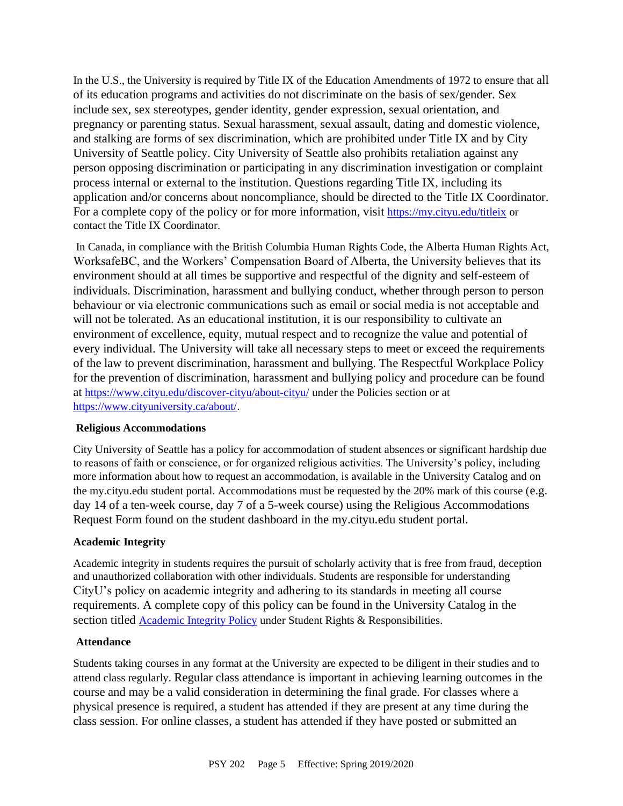In the U.S., the University is required by Title IX of the Education Amendments of 1972 to ensure that all of its education programs and activities do not discriminate on the basis of sex/gender. Sex include sex, sex stereotypes, gender identity, gender expression, sexual orientation, and pregnancy or parenting status. Sexual harassment, sexual assault, dating and domestic violence, and stalking are forms of sex discrimination, which are prohibited under Title IX and by City University of Seattle policy. City University of Seattle also prohibits retaliation against any person opposing discrimination or participating in any discrimination investigation or complaint process internal or external to the institution. Questions regarding Title IX, including its application and/or concerns about noncompliance, should be directed to the Title IX Coordinator. For a complete copy of the policy or for more information, visit <https://my.cityu.edu/titleix> or contact the Title IX Coordinator.

In Canada, in compliance with the British Columbia Human Rights Code, the Alberta Human Rights Act, WorksafeBC, and the Workers' Compensation Board of Alberta, the University believes that its environment should at all times be supportive and respectful of the dignity and self-esteem of individuals. Discrimination, harassment and bullying conduct, whether through person to person behaviour or via electronic communications such as email or social media is not acceptable and will not be tolerated. As an educational institution, it is our responsibility to cultivate an environment of excellence, equity, mutual respect and to recognize the value and potential of every individual. The University will take all necessary steps to meet or exceed the requirements of the law to prevent discrimination, harassment and bullying. The Respectful Workplace Policy for the prevention of discrimination, harassment and bullying policy and procedure can be found at <https://www.cityu.edu/discover-cityu/about-cityu/> under the Policies section or at <https://www.cityuniversity.ca/about/>.

#### **Religious Accommodations**

City University of Seattle has a policy for accommodation of student absences or significant hardship due to reasons of faith or conscience, or for organized religious activities. The University's policy, including more information about how to request an accommodation, is available in the University Catalog and on the my.cityu.edu student portal. Accommodations must be requested by the 20% mark of this course (e.g. day 14 of a ten-week course, day 7 of a 5-week course) using the Religious Accommodations Request Form found on the student dashboard in the my.cityu.edu student portal.

### **Academic Integrity**

Academic integrity in students requires the pursuit of scholarly activity that is free from fraud, deception and unauthorized collaboration with other individuals. Students are responsible for understanding CityU's policy on academic integrity and adhering to its standards in meeting all course requirements. A complete copy of this policy can be found in the University Catalog in the section titled [Academic Integrity Policy](https://www.cityu.edu/catalog/;) under Student Rights & Responsibilities.

#### **Attendance**

Students taking courses in any format at the University are expected to be diligent in their studies and to attend class regularly. Regular class attendance is important in achieving learning outcomes in the course and may be a valid consideration in determining the final grade. For classes where a physical presence is required, a student has attended if they are present at any time during the class session. For online classes, a student has attended if they have posted or submitted an